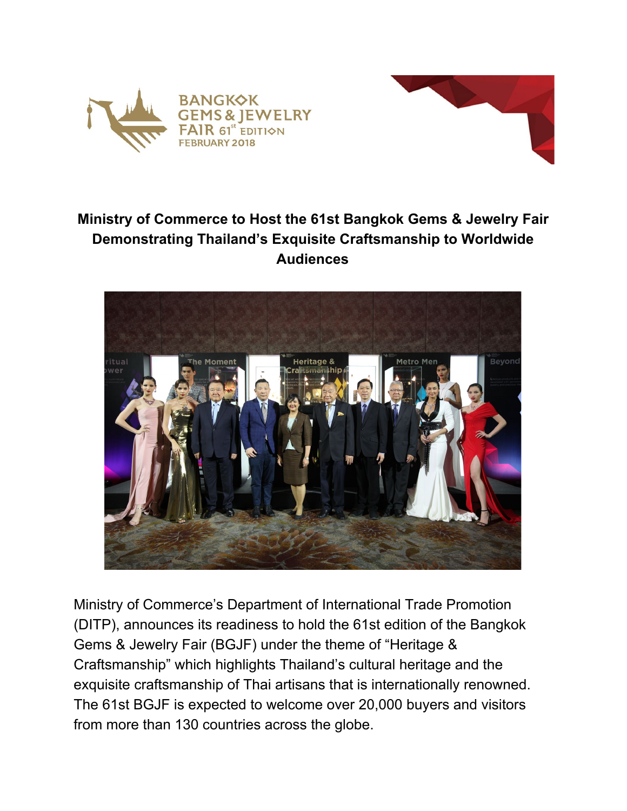



## **Ministry of Commerce to Host the 61st Bangkok Gems & Jewelry Fair Demonstrating Thailand's Exquisite Craftsmanship to Worldwide Audiences**



Ministry of Commerce's Department of International Trade Promotion (DITP), announces its readiness to hold the 61st edition of the Bangkok Gems & Jewelry Fair (BGJF) under the theme of "Heritage & Craftsmanship" which highlights Thailand's cultural heritage and the exquisite craftsmanship of Thai artisans that is internationally renowned. The 61st BGJF is expected to welcome over 20,000 buyers and visitors from more than 130 countries across the globe.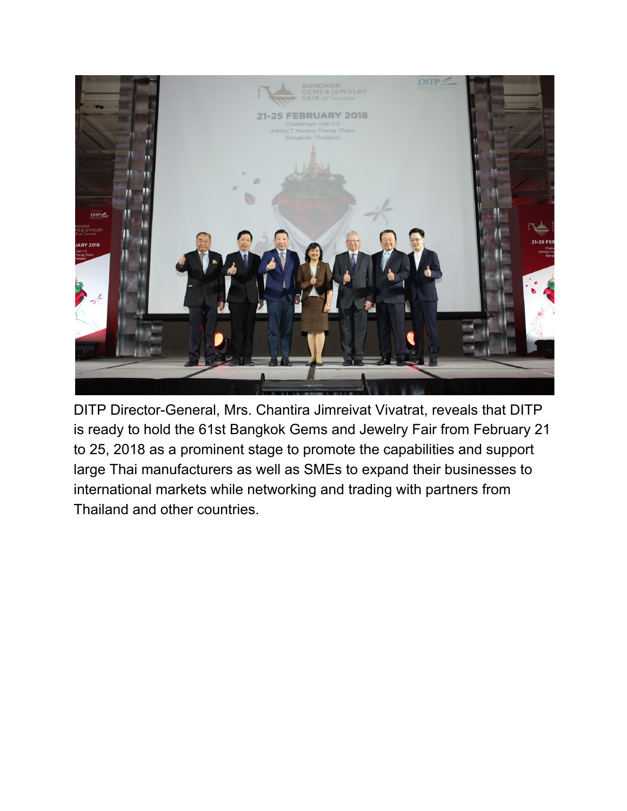

DITP Director-General, Mrs. Chantira Jimreivat Vivatrat, reveals that DITP is ready to hold the 61st Bangkok Gems and Jewelry Fair from February 21 to 25, 2018 as a prominent stage to promote the capabilities and support large Thai manufacturers as well as SMEs to expand their businesses to international markets while networking and trading with partners from Thailand and other countries.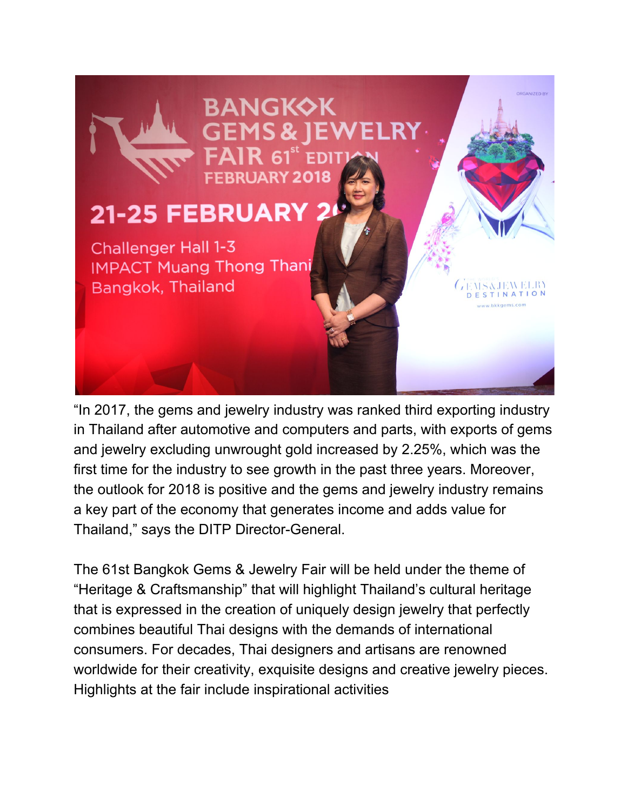

"In 2017, the gems and jewelry industry was ranked third exporting industry in Thailand after automotive and computers and parts, with exports of gems and jewelry excluding unwrought gold increased by 2.25%, which was the first time for the industry to see growth in the past three years. Moreover, the outlook for 2018 is positive and the gems and jewelry industry remains a key part of the economy that generates income and adds value for Thailand," says the DITP Director-General.

The 61st Bangkok Gems & Jewelry Fair will be held under the theme of "Heritage & Craftsmanship" that will highlight Thailand's cultural heritage that is expressed in the creation of uniquely design jewelry that perfectly combines beautiful Thai designs with the demands of international consumers. For decades, Thai designers and artisans are renowned worldwide for their creativity, exquisite designs and creative jewelry pieces. Highlights at the fair include inspirational activities